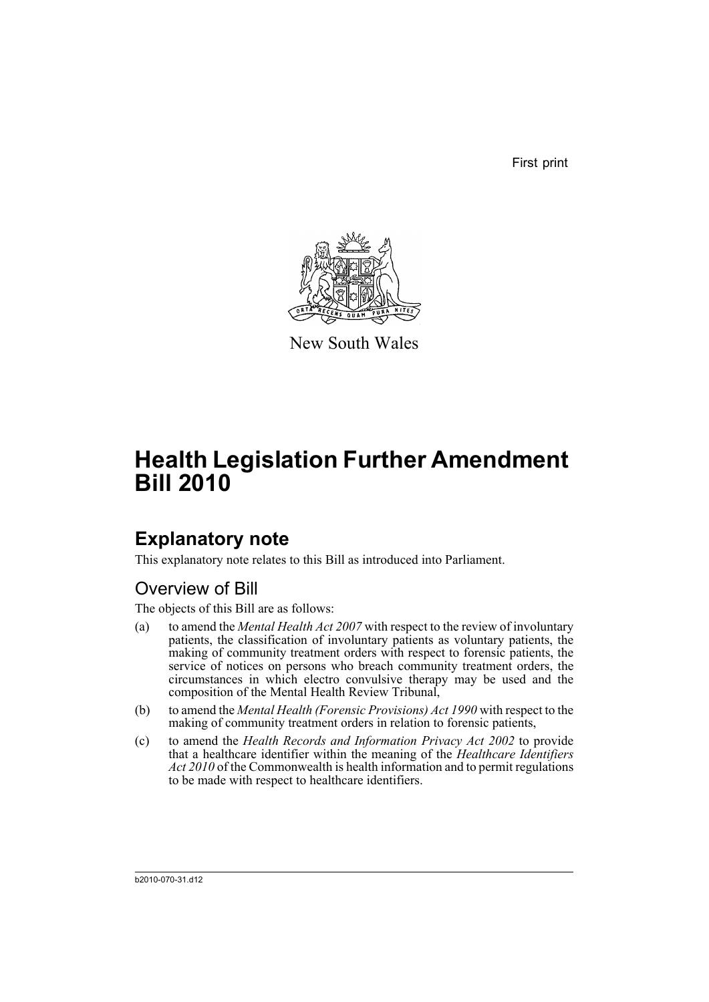First print



New South Wales

# **Health Legislation Further Amendment Bill 2010**

## **Explanatory note**

This explanatory note relates to this Bill as introduced into Parliament.

### Overview of Bill

The objects of this Bill are as follows:

- (a) to amend the *Mental Health Act 2007* with respect to the review of involuntary patients, the classification of involuntary patients as voluntary patients, the making of community treatment orders with respect to forensic patients, the service of notices on persons who breach community treatment orders, the circumstances in which electro convulsive therapy may be used and the composition of the Mental Health Review Tribunal,
- (b) to amend the *Mental Health (Forensic Provisions) Act 1990* with respect to the making of community treatment orders in relation to forensic patients,
- (c) to amend the *Health Records and Information Privacy Act 2002* to provide that a healthcare identifier within the meaning of the *Healthcare Identifiers Act 2010* of the Commonwealth is health information and to permit regulations to be made with respect to healthcare identifiers.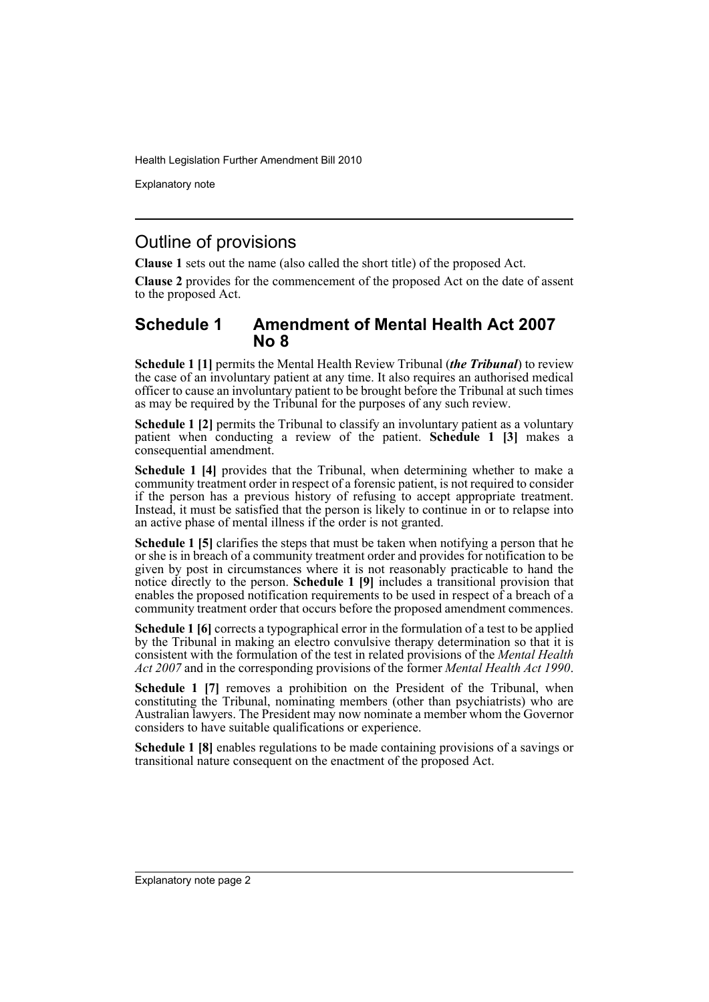Explanatory note

#### Outline of provisions

**Clause 1** sets out the name (also called the short title) of the proposed Act.

**Clause 2** provides for the commencement of the proposed Act on the date of assent to the proposed Act.

#### **Schedule 1 Amendment of Mental Health Act 2007 No 8**

**Schedule 1 [1]** permits the Mental Health Review Tribunal (*the Tribunal*) to review the case of an involuntary patient at any time. It also requires an authorised medical officer to cause an involuntary patient to be brought before the Tribunal at such times as may be required by the Tribunal for the purposes of any such review.

**Schedule 1 [2]** permits the Tribunal to classify an involuntary patient as a voluntary patient when conducting a review of the patient. **Schedule 1 [3]** makes a consequential amendment.

**Schedule 1 [4]** provides that the Tribunal, when determining whether to make a community treatment order in respect of a forensic patient, is not required to consider if the person has a previous history of refusing to accept appropriate treatment. Instead, it must be satisfied that the person is likely to continue in or to relapse into an active phase of mental illness if the order is not granted.

**Schedule 1 [5]** clarifies the steps that must be taken when notifying a person that he or she is in breach of a community treatment order and provides for notification to be given by post in circumstances where it is not reasonably practicable to hand the notice directly to the person. **Schedule 1 [9]** includes a transitional provision that enables the proposed notification requirements to be used in respect of a breach of a community treatment order that occurs before the proposed amendment commences.

**Schedule 1 [6]** corrects a typographical error in the formulation of a test to be applied by the Tribunal in making an electro convulsive therapy determination so that it is consistent with the formulation of the test in related provisions of the *Mental Health Act 2007* and in the corresponding provisions of the former *Mental Health Act 1990*.

**Schedule 1 [7]** removes a prohibition on the President of the Tribunal, when constituting the Tribunal, nominating members (other than psychiatrists) who are Australian lawyers. The President may now nominate a member whom the Governor considers to have suitable qualifications or experience.

**Schedule 1 [8]** enables regulations to be made containing provisions of a savings or transitional nature consequent on the enactment of the proposed Act.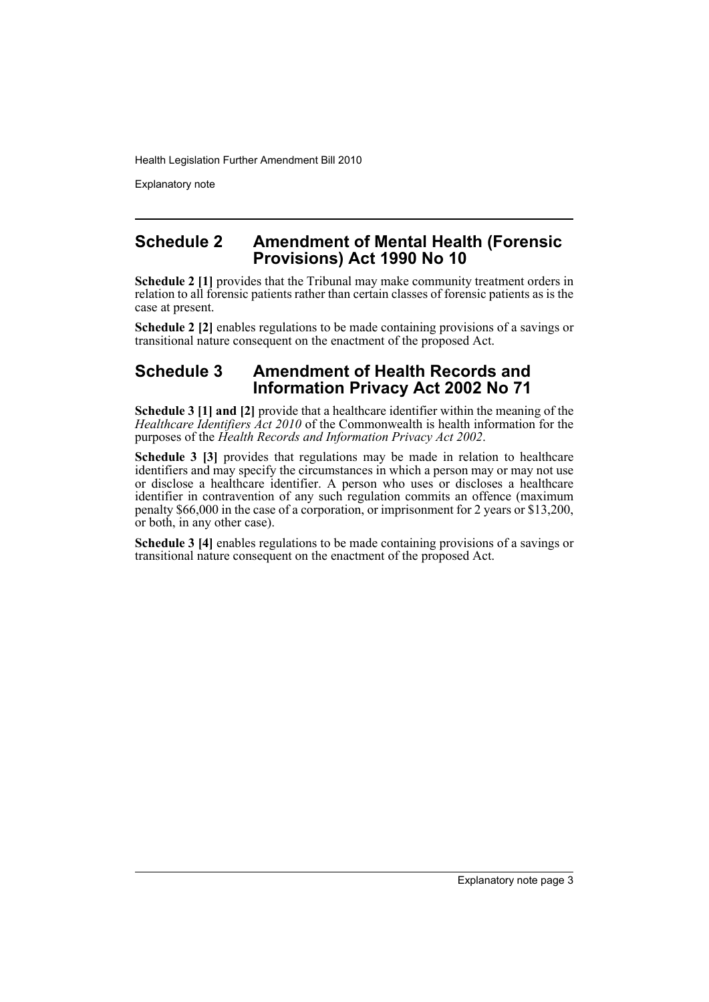Explanatory note

#### **Schedule 2 Amendment of Mental Health (Forensic Provisions) Act 1990 No 10**

**Schedule 2 [1]** provides that the Tribunal may make community treatment orders in relation to all forensic patients rather than certain classes of forensic patients as is the case at present.

**Schedule 2 [2]** enables regulations to be made containing provisions of a savings or transitional nature consequent on the enactment of the proposed Act.

#### **Schedule 3 Amendment of Health Records and Information Privacy Act 2002 No 71**

**Schedule 3 [1] and [2]** provide that a healthcare identifier within the meaning of the *Healthcare Identifiers Act 2010* of the Commonwealth is health information for the purposes of the *Health Records and Information Privacy Act 2002*.

**Schedule 3 [3]** provides that regulations may be made in relation to healthcare identifiers and may specify the circumstances in which a person may or may not use or disclose a healthcare identifier. A person who uses or discloses a healthcare identifier in contravention of any such regulation commits an offence (maximum penalty \$66,000 in the case of a corporation, or imprisonment for 2 years or \$13,200, or both, in any other case).

**Schedule 3 [4]** enables regulations to be made containing provisions of a savings or transitional nature consequent on the enactment of the proposed Act.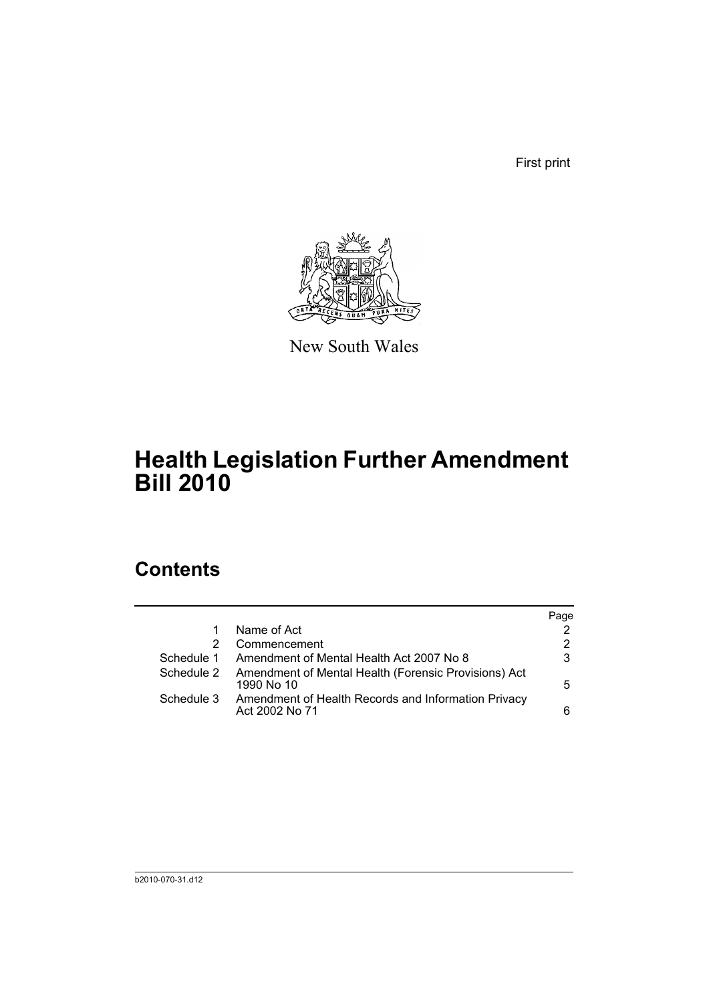First print



New South Wales

## **Health Legislation Further Amendment Bill 2010**

## **Contents**

|            |                                                                       | Page |
|------------|-----------------------------------------------------------------------|------|
|            | Name of Act                                                           | 2    |
| 2          | Commencement                                                          | 2    |
| Schedule 1 | Amendment of Mental Health Act 2007 No 8                              | 3    |
| Schedule 2 | Amendment of Mental Health (Forensic Provisions) Act<br>1990 No 10    | 5.   |
| Schedule 3 | Amendment of Health Records and Information Privacy<br>Act 2002 No 71 | 6    |
|            |                                                                       |      |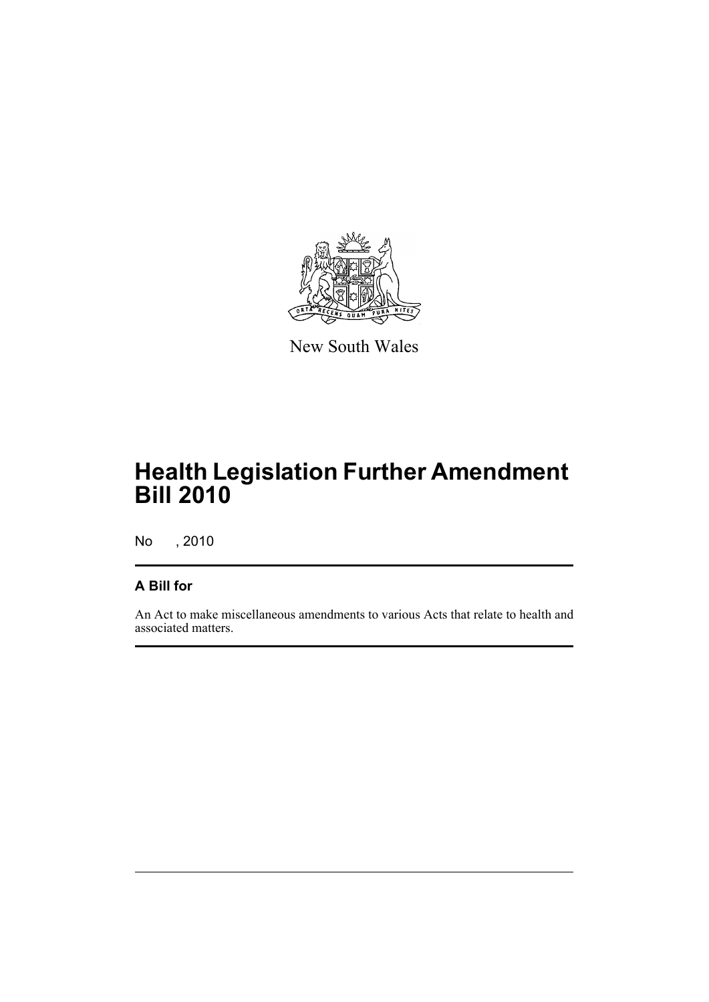

New South Wales

## **Health Legislation Further Amendment Bill 2010**

No , 2010

#### **A Bill for**

An Act to make miscellaneous amendments to various Acts that relate to health and associated matters.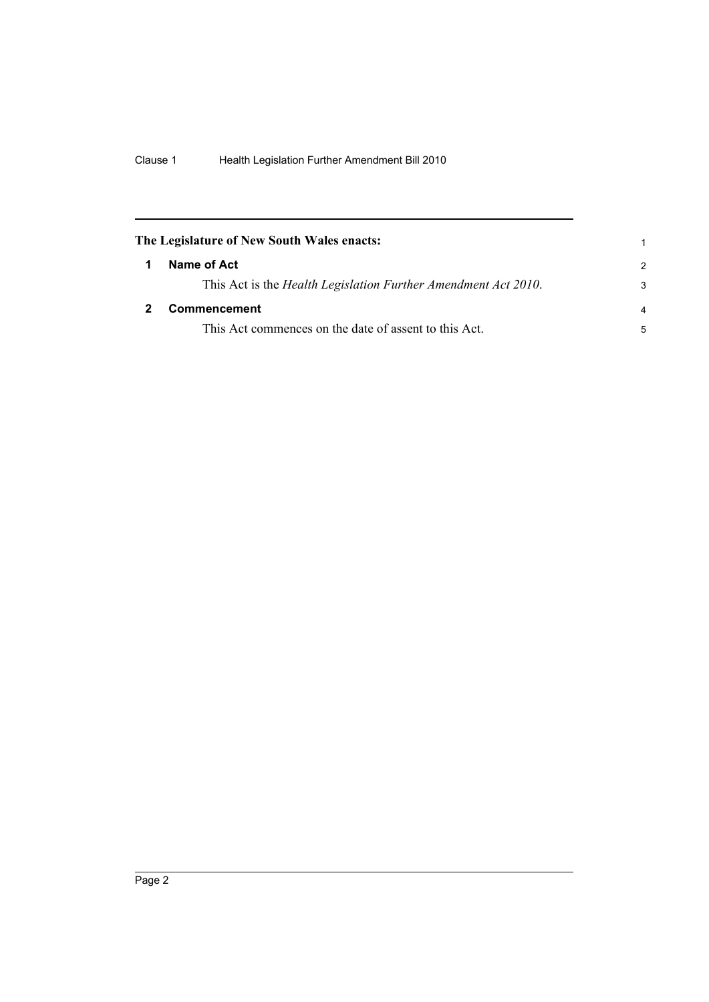<span id="page-7-1"></span><span id="page-7-0"></span>

| The Legislature of New South Wales enacts:                     |               |
|----------------------------------------------------------------|---------------|
| Name of Act                                                    | $\mathcal{P}$ |
| This Act is the Health Legislation Further Amendment Act 2010. | 3             |
| Commencement                                                   | 4             |
| This Act commences on the date of assent to this Act.          | 5             |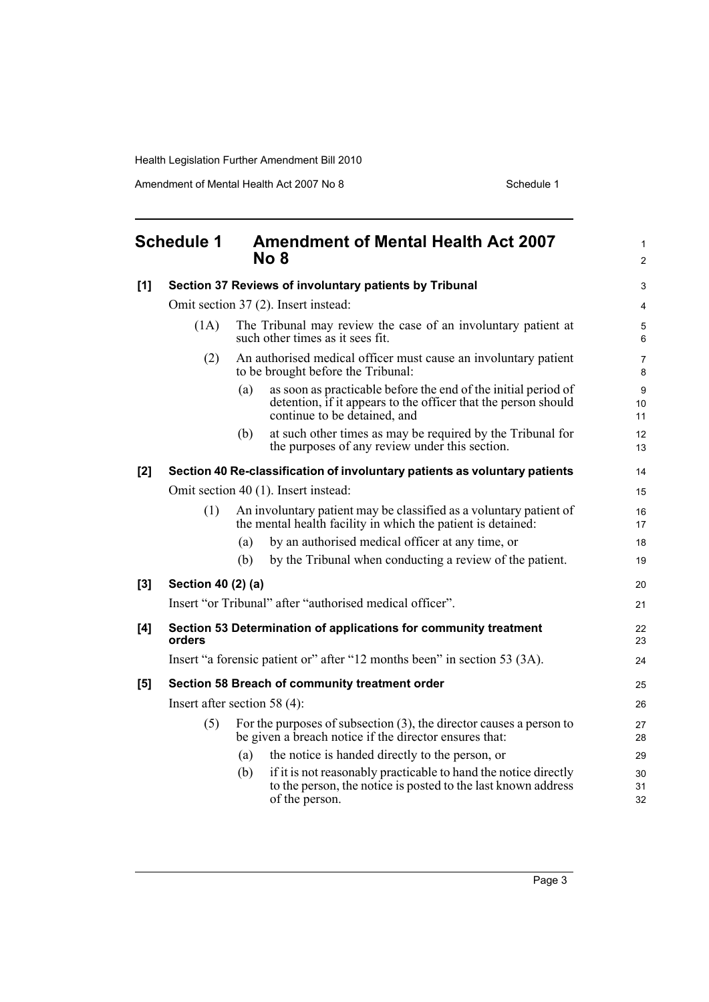<span id="page-8-0"></span>

| <b>Schedule 1</b> |                                                                            | <b>Amendment of Mental Health Act 2007</b><br>No 8                                                                                                                      | $\mathbf{1}$<br>2   |  |
|-------------------|----------------------------------------------------------------------------|-------------------------------------------------------------------------------------------------------------------------------------------------------------------------|---------------------|--|
| [1]               | Section 37 Reviews of involuntary patients by Tribunal                     |                                                                                                                                                                         |                     |  |
|                   |                                                                            | Omit section 37 (2). Insert instead:                                                                                                                                    |                     |  |
|                   | (1A)                                                                       | The Tribunal may review the case of an involuntary patient at<br>such other times as it sees fit.                                                                       | 5<br>6              |  |
|                   | (2)                                                                        | An authorised medical officer must cause an involuntary patient<br>to be brought before the Tribunal:                                                                   | $\overline{7}$<br>8 |  |
|                   |                                                                            | as soon as practicable before the end of the initial period of<br>(a)<br>detention, if it appears to the officer that the person should<br>continue to be detained, and | 9<br>10<br>11       |  |
|                   |                                                                            | at such other times as may be required by the Tribunal for<br>(b)<br>the purposes of any review under this section.                                                     | 12<br>13            |  |
| $[2]$             |                                                                            | Section 40 Re-classification of involuntary patients as voluntary patients                                                                                              | 14                  |  |
|                   |                                                                            | Omit section 40 (1). Insert instead:                                                                                                                                    | 15                  |  |
|                   | (1)                                                                        | An involuntary patient may be classified as a voluntary patient of<br>the mental health facility in which the patient is detained:                                      | 16<br>17            |  |
|                   |                                                                            | by an authorised medical officer at any time, or<br>(a)                                                                                                                 | 18                  |  |
|                   |                                                                            | by the Tribunal when conducting a review of the patient.<br>(b)                                                                                                         | 19                  |  |
| [3]               | Section 40 (2) (a)                                                         |                                                                                                                                                                         |                     |  |
|                   | Insert "or Tribunal" after "authorised medical officer".                   |                                                                                                                                                                         |                     |  |
| [4]               | Section 53 Determination of applications for community treatment<br>orders |                                                                                                                                                                         | 22<br>23            |  |
|                   |                                                                            | Insert "a forensic patient or" after "12 months been" in section 53 (3A).                                                                                               | 24                  |  |
| [5]               | Section 58 Breach of community treatment order                             |                                                                                                                                                                         |                     |  |
|                   | Insert after section 58 $(4)$ :                                            |                                                                                                                                                                         |                     |  |
|                   | (5)                                                                        | For the purposes of subsection $(3)$ , the director causes a person to<br>be given a breach notice if the director ensures that:                                        | 27<br>28            |  |
|                   |                                                                            | the notice is handed directly to the person, or<br>(a)                                                                                                                  | 29                  |  |
|                   |                                                                            | if it is not reasonably practicable to hand the notice directly<br>(b)<br>to the person, the notice is posted to the last known address<br>of the person.               | 30<br>31<br>32      |  |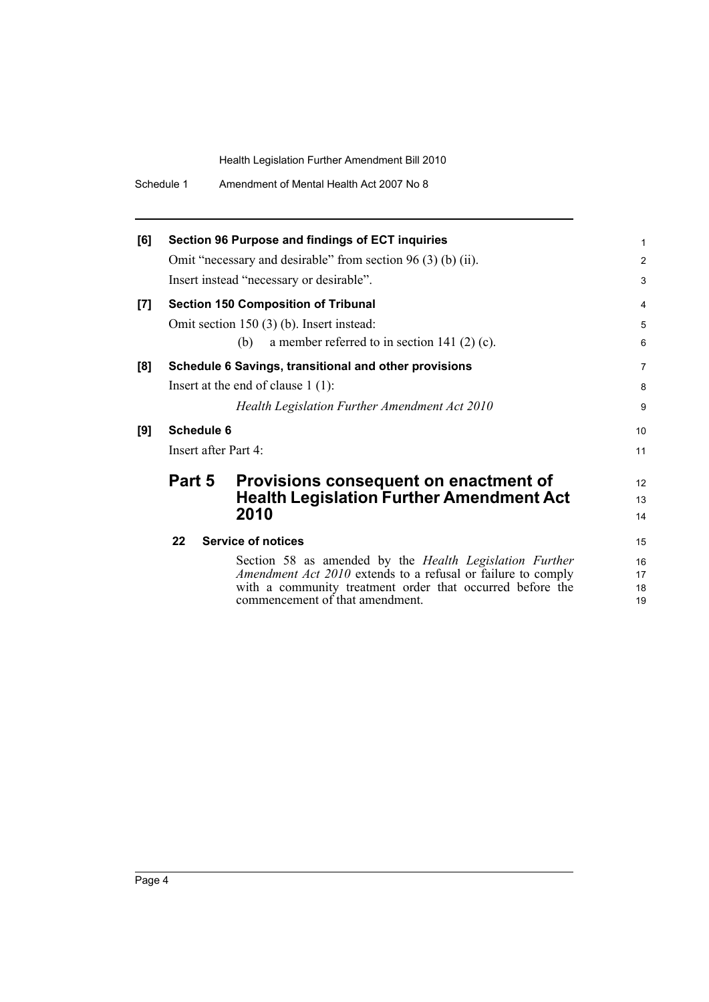| [6] |                                           | Section 96 Purpose and findings of ECT inquiries<br>Omit "necessary and desirable" from section $96(3)$ (b) (ii).<br>Insert instead "necessary or desirable".                                                           |  |
|-----|-------------------------------------------|-------------------------------------------------------------------------------------------------------------------------------------------------------------------------------------------------------------------------|--|
| [7] |                                           | <b>Section 150 Composition of Tribunal</b><br>Omit section $150(3)$ (b). Insert instead:<br>a member referred to in section 141 $(2)$ (c).<br>(b)                                                                       |  |
| [8] |                                           | Schedule 6 Savings, transitional and other provisions<br>Insert at the end of clause $1(1)$ :<br>Health Legislation Further Amendment Act 2010                                                                          |  |
| [9] | <b>Schedule 6</b><br>Insert after Part 4: |                                                                                                                                                                                                                         |  |
|     | Part 5                                    | Provisions consequent on enactment of<br><b>Health Legislation Further Amendment Act</b><br>2010                                                                                                                        |  |
|     | 22                                        | <b>Service of notices</b>                                                                                                                                                                                               |  |
|     |                                           | Section 58 as amended by the Health Legislation Further<br>Amendment Act 2010 extends to a refusal or failure to comply<br>with a community treatment order that occurred before the<br>commencement of that amendment. |  |

1 2 3

10 11

12 13 14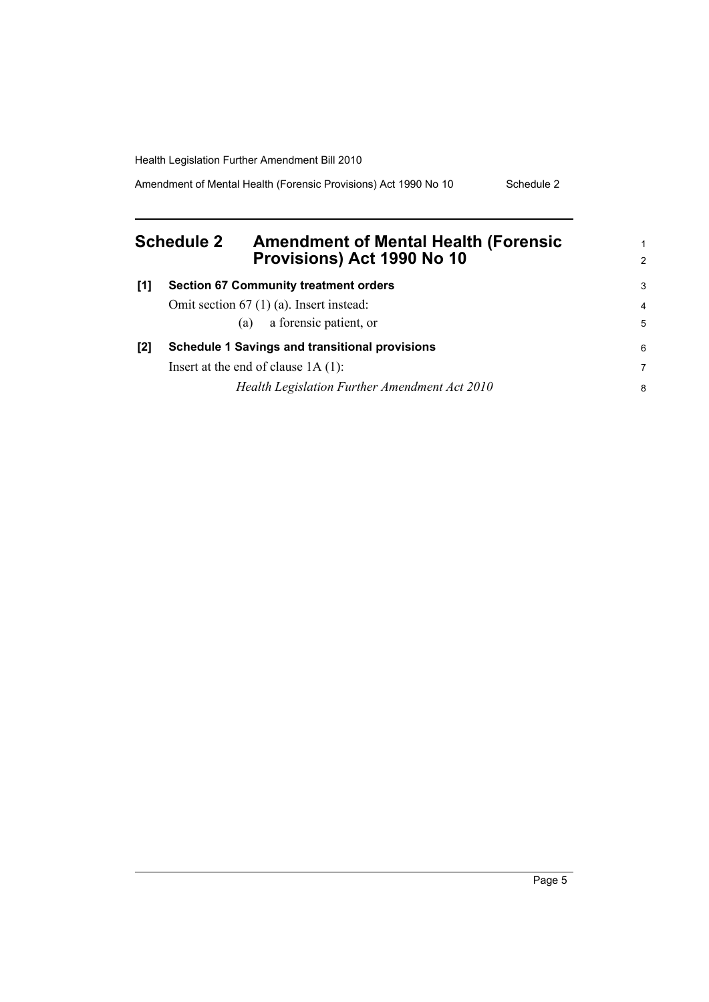Amendment of Mental Health (Forensic Provisions) Act 1990 No 10 Schedule 2

<span id="page-10-0"></span>

|       | <b>Schedule 2</b><br><b>Amendment of Mental Health (Forensic</b><br>Provisions) Act 1990 No 10 | $\mathbf{1}$<br>2 |
|-------|------------------------------------------------------------------------------------------------|-------------------|
| $[1]$ | <b>Section 67 Community treatment orders</b>                                                   | 3                 |
|       | Omit section $67$ (1) (a). Insert instead:                                                     | $\overline{4}$    |
|       | a forensic patient, or<br>(a)                                                                  | 5                 |
| [2]   | <b>Schedule 1 Savings and transitional provisions</b>                                          | 6                 |
|       | Insert at the end of clause $1A(1)$ :                                                          | 7                 |
|       | Health Legislation Further Amendment Act 2010                                                  | 8                 |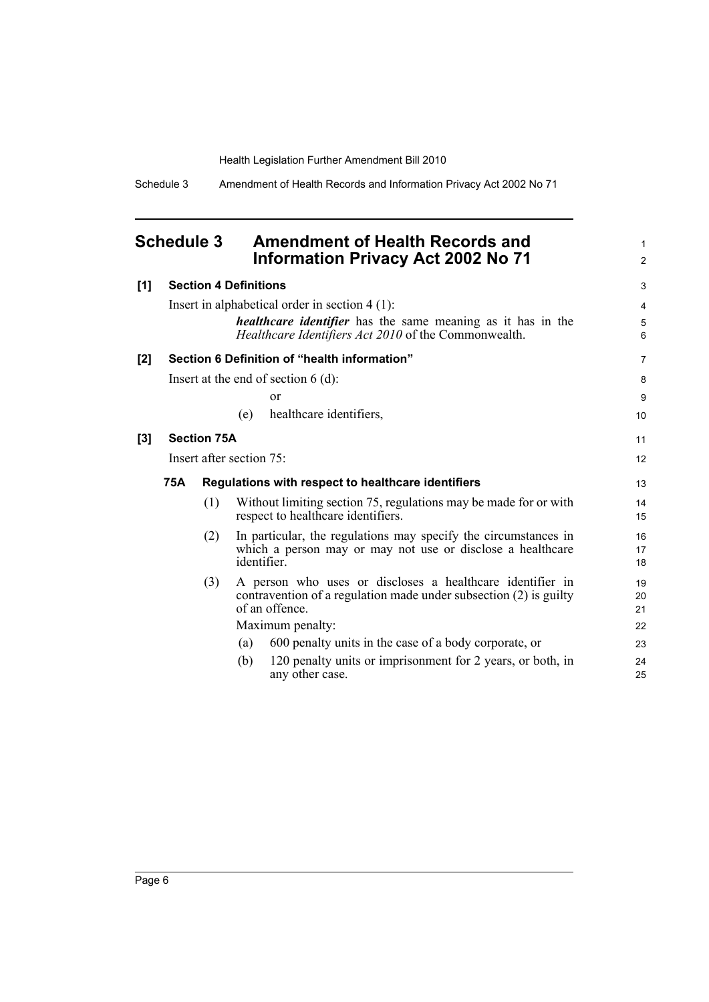Schedule 3 Amendment of Health Records and Information Privacy Act 2002 No 71

<span id="page-11-0"></span>

| <b>Schedule 3</b> | <b>Amendment of Health Records and</b><br><b>Information Privacy Act 2002 No 71</b> |
|-------------------|-------------------------------------------------------------------------------------|
|                   |                                                                                     |

| [1] |     |                    | <b>Section 4 Definitions</b> |                                                                                                                                                    | 3              |
|-----|-----|--------------------|------------------------------|----------------------------------------------------------------------------------------------------------------------------------------------------|----------------|
|     |     |                    |                              | Insert in alphabetical order in section $4(1)$ :                                                                                                   | $\overline{4}$ |
|     |     |                    |                              | <i>healthcare identifier</i> has the same meaning as it has in the<br>Healthcare Identifiers Act 2010 of the Commonwealth.                         | 5<br>6         |
| [2] |     |                    |                              | Section 6 Definition of "health information"                                                                                                       | $\overline{7}$ |
|     |     |                    |                              | Insert at the end of section $6$ (d):                                                                                                              | 8              |
|     |     |                    |                              | <sub>or</sub>                                                                                                                                      | 9              |
|     |     |                    | (e)                          | healthcare identifiers,                                                                                                                            | 10             |
| [3] |     | <b>Section 75A</b> |                              |                                                                                                                                                    | 11             |
|     |     |                    | Insert after section 75:     |                                                                                                                                                    | 12             |
|     | 75A |                    |                              | Regulations with respect to healthcare identifiers                                                                                                 | 13             |
|     |     | (1)                |                              | Without limiting section 75, regulations may be made for or with<br>respect to healthcare identifiers.                                             | 14<br>15       |
|     |     | (2)                | identifier                   | In particular, the regulations may specify the circumstances in<br>which a person may or may not use or disclose a healthcare                      | 16<br>17<br>18 |
|     |     | (3)                |                              | A person who uses or discloses a healthcare identifier in<br>contravention of a regulation made under subsection $(2)$ is guilty<br>of an offence. | 19<br>20<br>21 |
|     |     |                    |                              | Maximum penalty:                                                                                                                                   | 22             |
|     |     |                    | (a)                          | 600 penalty units in the case of a body corporate, or                                                                                              | 23             |
|     |     |                    | (b)                          | 120 penalty units or imprisonment for 2 years, or both, in<br>any other case.                                                                      | 24<br>25       |

1 2